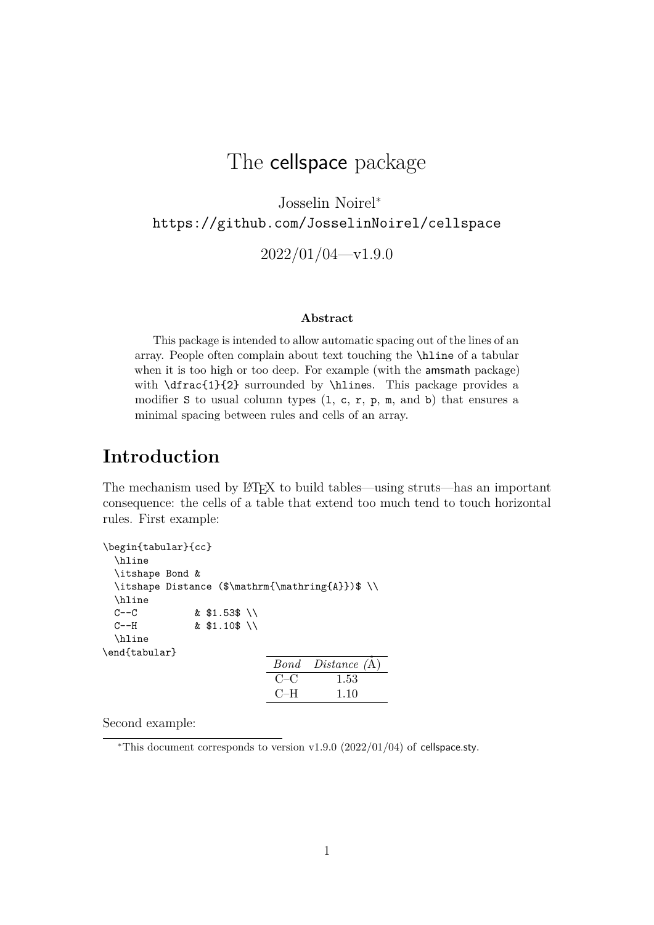# The cellspace package

Josselin Noirel<sup>∗</sup> https://github.com/JosselinNoirel/cellspace

 $2022/01/04 - v1.9.0$ 

#### **Abstract**

This package is intended to allow automatic spacing out of the lines of an array. People often complain about text touching the \hline of a tabular when it is too high or too deep. For example (with the amsmath package) with \dfrac{1}{2} surrounded by \hlines. This package provides a modifier S to usual column types  $(1, c, r, p, m, \text{ and } b)$  that ensures a minimal spacing between rules and cells of an array.

## **Introduction**

The mechanism used by LAT<sub>EX</sub> to build tables—using struts—has an important consequence: the cells of a table that extend too much tend to touch horizontal rules. First example:

```
\begin{tabular}{cc}
 \hline
 \itshape Bond &
 \itshape Distance ($\mathrm{\mathring{A}})$ \\
 \hline
 C--C & $1.53$ \\
 C--H & $1.10$\\
 \hline
\end{tabular}
                          Bond Distance (A)
                          C–C 1.53
                          C–H 1.10
```
Second example:

<sup>\*</sup>This document corresponds to version v1.9.0  $(2022/01/04)$  of cellspace.sty.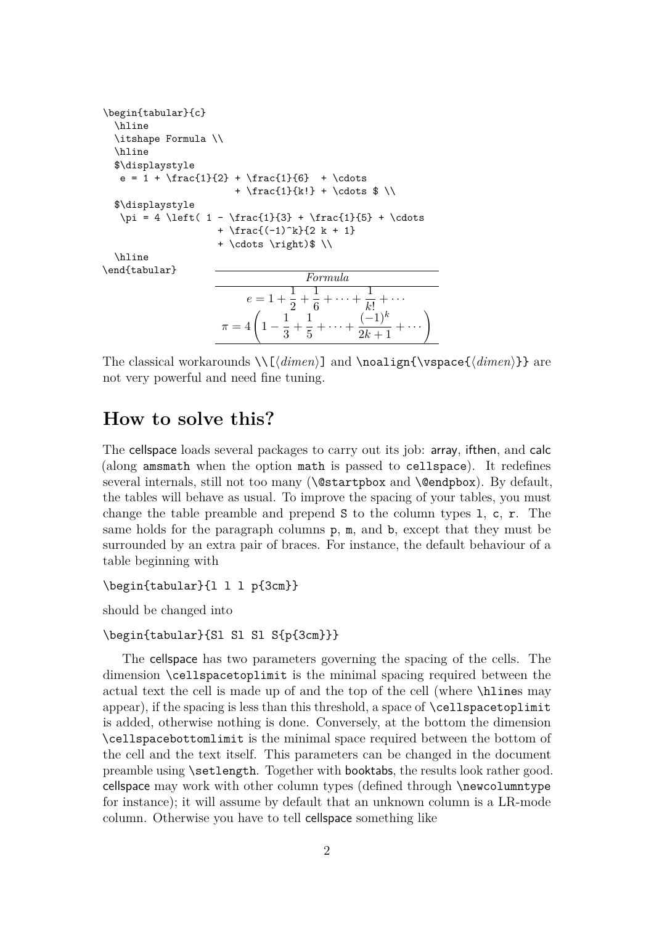```
\begin{tabular}{c}
  \hline
  \itshape Formula \\
  \hline
  $\displaystyle
    e = 1 + \frac{1}{2} + \frac{1}{6} + \cdot \cdot+ \frac{1}{k!} + \cdot \cdot \cdot \cdot \cdot \cdot \cdot \cdot$\displaystyle
    \pi = 4 \left( 1 - \frac{1}{3} + \frac{1}{5} + \cdots \right)+ \frac{(-1)^k}{2 k + 1}+ \cdots \right)$ \\
  \hline
\end{tabular} Formula
                                     e = 1 + \frac{1}{2}\frac{1}{2} + \frac{1}{6}\frac{1}{6} + \cdots + \frac{1}{k}\frac{1}{k!} + \cdots\pi = 4\left(1 - \frac{1}{2}\right)\frac{1}{3} + \frac{1}{5}\frac{1}{5} + \cdots + \frac{(-1)^k}{2k+1}\frac{(-1)^k}{2k+1} + \cdots
```
The classical workarounds  $\lvert \langle \rangle$  and  $\text{}\$  and  $\text{}\$ not very powerful and need fine tuning.

### **How to solve this?**

The cellspace loads several packages to carry out its job: array, ifthen, and calc (along amsmath when the option math is passed to cellspace). It redefines several internals, still not too many ( $\text{Cstartpbox}$  and  $\text{Qendpbox}$ ). By default, the tables will behave as usual. To improve the spacing of your tables, you must change the table preamble and prepend S to the column types l, c, r. The same holds for the paragraph columns p, m, and b, except that they must be surrounded by an extra pair of braces. For instance, the default behaviour of a table beginning with

```
\begin{tabular}{l l l p{3cm}}
```
should be changed into

#### \begin{tabular}{Sl Sl Sl S{p{3cm}}}

The cellspace has two parameters governing the spacing of the cells. The dimension \cellspacetoplimit is the minimal spacing required between the actual text the cell is made up of and the top of the cell (where \hlines may appear), if the spacing is less than this threshold, a space of \cellspacetoplimit is added, otherwise nothing is done. Conversely, at the bottom the dimension \cellspacebottomlimit is the minimal space required between the bottom of the cell and the text itself. This parameters can be changed in the document preamble using \setlength. Together with booktabs, the results look rather good. cellspace may work with other column types (defined through \newcolumntype for instance); it will assume by default that an unknown column is a LR-mode column. Otherwise you have to tell cellspace something like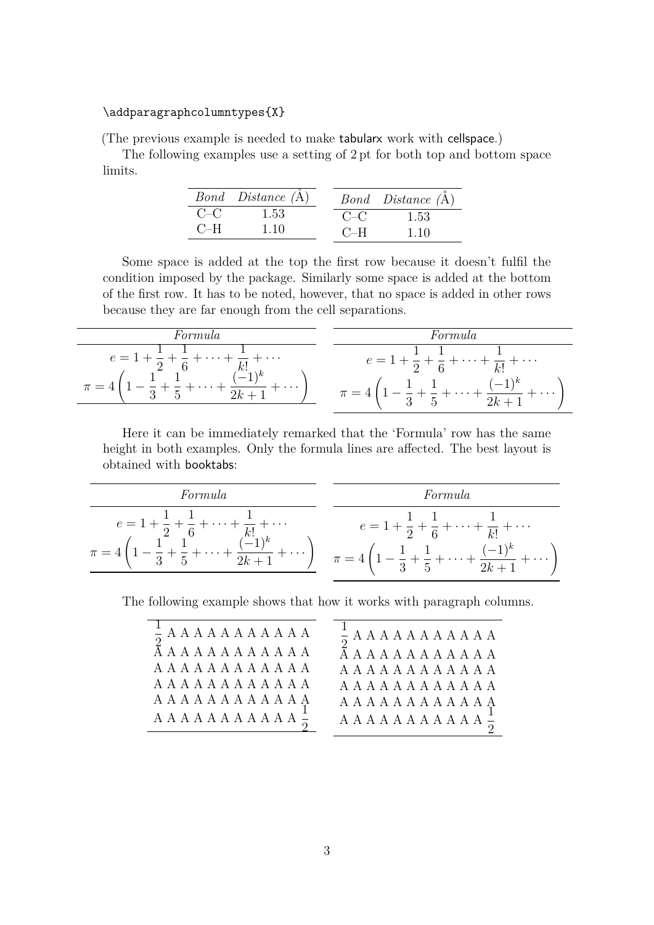#### \addparagraphcolumntypes{X}

(The previous example is needed to make tabularx work with cellspace.)

The following examples use a setting of 2 pt for both top and bottom space limits.

|       | Bond Distance (A) |       | <i>Bond Distance</i> $(\dot{A})$ |
|-------|-------------------|-------|----------------------------------|
| $C-C$ | 1.53              | $C-C$ | 1.53                             |
| $C-H$ | 1.10              | C-H   | 1.10                             |

Some space is added at the top the first row because it doesn't fulfil the condition imposed by the package. Similarly some space is added at the bottom of the first row. It has to be noted, however, that no space is added in other rows because they are far enough from the cell separations.

| Formula                                                                                                                                                 | Formula                                                                                              |
|---------------------------------------------------------------------------------------------------------------------------------------------------------|------------------------------------------------------------------------------------------------------|
| $e =$<br>.<br>$\cdots$<br>ın<br>$\overline{\phantom{a}}$<br>$\pi$<br>$=$<br>$\cdots$<br>$\overline{\phantom{0}}$<br>$\Omega$<br>$\Omega$<br>$\omega$ IV | $e =$<br>$\cdots$<br>ιυ.<br>$=$<br>$\cdots$<br>$\overline{\phantom{0}}$<br>$\Omega$<br>$\Omega$<br>ບ |

Here it can be immediately remarked that the 'Formula' row has the same height in both examples. Only the formula lines are affected. The best layout is obtained with booktabs:

| Formula  | Formula                         |
|----------|---------------------------------|
| $e =$    | $e =$                           |
| .        | $\mathbf{r}$                    |
| ,,,      | $\curvearrowright$              |
| $\pi =$  | 1v.                             |
| $\cdots$ |                                 |
| 2h       | $\pi=4$                         |
| ۔        | $\overline{a}$ + $\overline{z}$ |
| $\Omega$ | $\Omega$                        |

The following example shows that how it works with paragraph columns.

| $\frac{1}{2}$ A A A A A A A A A A | $\frac{1}{2}$ A A A A A A A A A A   |
|-----------------------------------|-------------------------------------|
| $\bar{A}$ A A A A A A A A A A A   | $\bar{\rm A}$ A A A A A A A A A A A |
| A A A A A A A A A A A A           | A A A A A A A A A A A               |
| A A A A A A A A A A A             | A A A A A A A A A A A               |
| AAAAAAAAAAAA                      | AAAAAAAAAAAA                        |
| A A A A A A A A A A A             | $A$ A A A A A A A A A A             |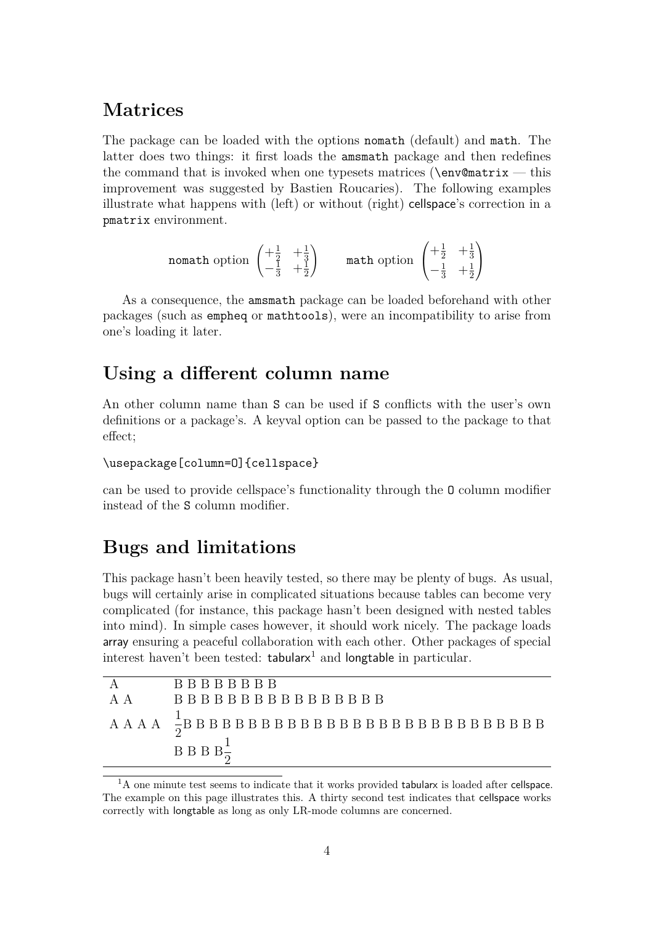### **Matrices**

The package can be loaded with the options nomath (default) and math. The latter does two things: it first loads the amsmath package and then redefines the command that is invoked when one typesets matrices ( $\emptyset$ env@matrix — this improvement was suggested by Bastien Roucaries). The following examples illustrate what happens with (left) or without (right) cellspace's correction in a pmatrix environment.

$$
\text{nomath option } \begin{pmatrix} +\frac{1}{2} & +\frac{1}{3} \\ -\frac{1}{3} & +\frac{1}{2} \end{pmatrix} \qquad \text{math option } \begin{pmatrix} +\frac{1}{2} & +\frac{1}{3} \\ -\frac{1}{3} & +\frac{1}{2} \end{pmatrix}
$$

As a consequence, the amsmath package can be loaded beforehand with other packages (such as empheq or mathtools), were an incompatibility to arise from one's loading it later.

### **Using a different column name**

An other column name than S can be used if S conflicts with the user's own definitions or a package's. A keyval option can be passed to the package to that effect;

```
\usepackage[column=O]{cellspace}
```
can be used to provide cellspace's functionality through the O column modifier instead of the S column modifier.

# **Bugs and limitations**

This package hasn't been heavily tested, so there may be plenty of bugs. As usual, bugs will certainly arise in complicated situations because tables can become very complicated (for instance, this package hasn't been designed with nested tables into mind). In simple cases however, it should work nicely. The package loads array ensuring a peaceful collaboration with each other. Other packages of special interest haven't been tested:  $t$ abular $x^1$  and longtable in particular.

|    | <b>BBBBBBBB</b>                                                                                       |
|----|-------------------------------------------------------------------------------------------------------|
| AA |                                                                                                       |
|    | A A A $A = \frac{1}{2}B B B B B B B B B B B B B B B B B B B B B B B B B B B B B B$<br>$B$ B B $B$ $-$ |

 $1<sup>1</sup>A$  one minute test seems to indicate that it works provided tabularx is loaded after cellspace. The example on this page illustrates this. A thirty second test indicates that cellspace works correctly with longtable as long as only LR-mode columns are concerned.